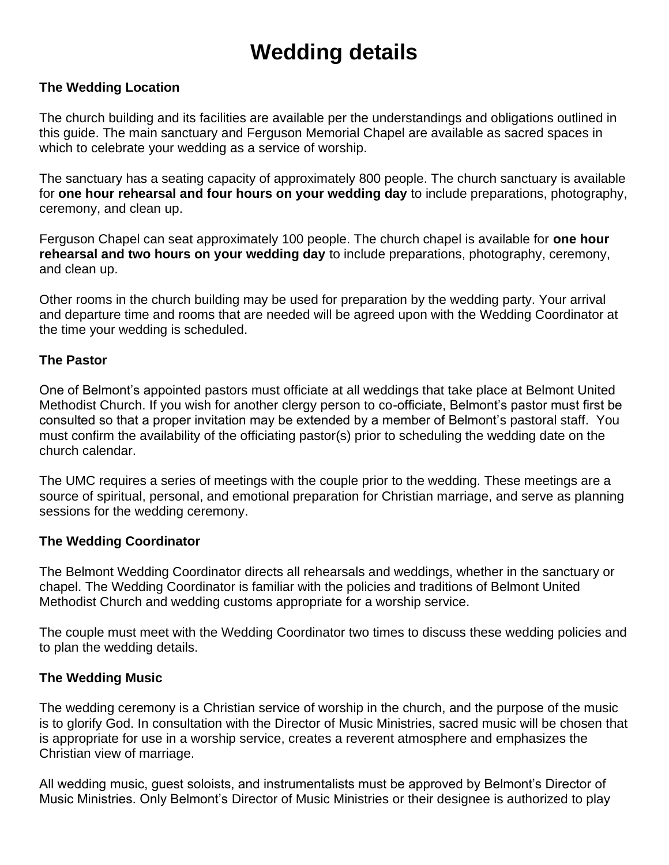# **Wedding details**

# **The Wedding Location**

The church building and its facilities are available per the understandings and obligations outlined in this guide. The main sanctuary and Ferguson Memorial Chapel are available as sacred spaces in which to celebrate your wedding as a service of worship.

The sanctuary has a seating capacity of approximately 800 people. The church sanctuary is available for **one hour rehearsal and four hours on your wedding day** to include preparations, photography, ceremony, and clean up.

Ferguson Chapel can seat approximately 100 people. The church chapel is available for **one hour rehearsal and two hours on your wedding day** to include preparations, photography, ceremony, and clean up.

Other rooms in the church building may be used for preparation by the wedding party. Your arrival and departure time and rooms that are needed will be agreed upon with the Wedding Coordinator at the time your wedding is scheduled.

#### **The Pastor**

One of Belmont's appointed pastors must officiate at all weddings that take place at Belmont United Methodist Church. If you wish for another clergy person to co-officiate, Belmont's pastor must first be consulted so that a proper invitation may be extended by a member of Belmont's pastoral staff. You must confirm the availability of the officiating pastor(s) prior to scheduling the wedding date on the church calendar.

The UMC requires a series of meetings with the couple prior to the wedding. These meetings are a source of spiritual, personal, and emotional preparation for Christian marriage, and serve as planning sessions for the wedding ceremony.

#### **The Wedding Coordinator**

The Belmont Wedding Coordinator directs all rehearsals and weddings, whether in the sanctuary or chapel. The Wedding Coordinator is familiar with the policies and traditions of Belmont United Methodist Church and wedding customs appropriate for a worship service.

The couple must meet with the Wedding Coordinator two times to discuss these wedding policies and to plan the wedding details.

#### **The Wedding Music**

The wedding ceremony is a Christian service of worship in the church, and the purpose of the music is to glorify God. In consultation with the Director of Music Ministries, sacred music will be chosen that is appropriate for use in a worship service, creates a reverent atmosphere and emphasizes the Christian view of marriage.

All wedding music, guest soloists, and instrumentalists must be approved by Belmont's Director of Music Ministries. Only Belmont's Director of Music Ministries or their designee is authorized to play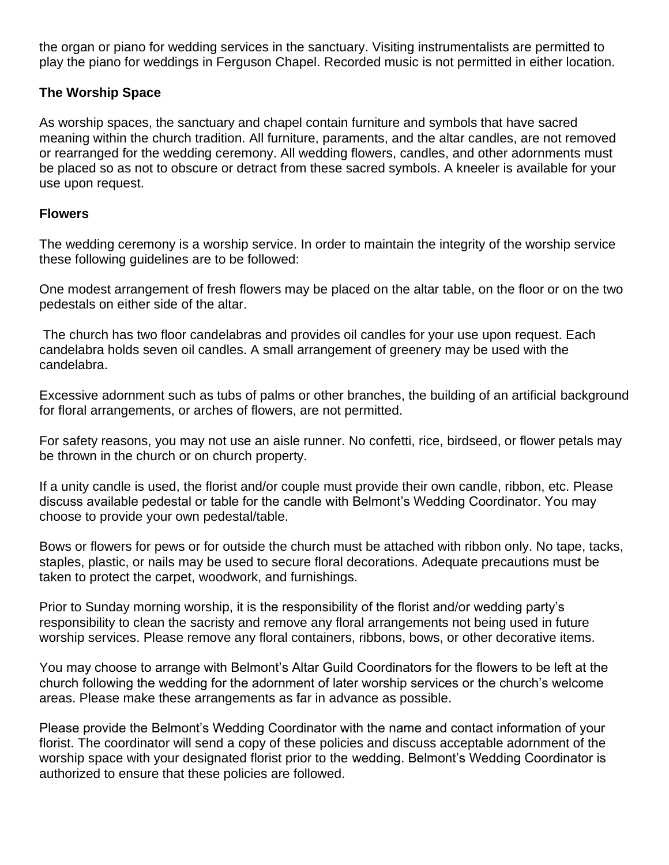the organ or piano for wedding services in the sanctuary. Visiting instrumentalists are permitted to play the piano for weddings in Ferguson Chapel. Recorded music is not permitted in either location.

# **The Worship Space**

As worship spaces, the sanctuary and chapel contain furniture and symbols that have sacred meaning within the church tradition. All furniture, paraments, and the altar candles, are not removed or rearranged for the wedding ceremony. All wedding flowers, candles, and other adornments must be placed so as not to obscure or detract from these sacred symbols. A kneeler is available for your use upon request.

#### **Flowers**

The wedding ceremony is a worship service. In order to maintain the integrity of the worship service these following guidelines are to be followed:

One modest arrangement of fresh flowers may be placed on the altar table, on the floor or on the two pedestals on either side of the altar.

The church has two floor candelabras and provides oil candles for your use upon request. Each candelabra holds seven oil candles. A small arrangement of greenery may be used with the candelabra.

Excessive adornment such as tubs of palms or other branches, the building of an artificial background for floral arrangements, or arches of flowers, are not permitted.

For safety reasons, you may not use an aisle runner. No confetti, rice, birdseed, or flower petals may be thrown in the church or on church property.

If a unity candle is used, the florist and/or couple must provide their own candle, ribbon, etc. Please discuss available pedestal or table for the candle with Belmont's Wedding Coordinator. You may choose to provide your own pedestal/table.

Bows or flowers for pews or for outside the church must be attached with ribbon only. No tape, tacks, staples, plastic, or nails may be used to secure floral decorations. Adequate precautions must be taken to protect the carpet, woodwork, and furnishings.

Prior to Sunday morning worship, it is the responsibility of the florist and/or wedding party's responsibility to clean the sacristy and remove any floral arrangements not being used in future worship services. Please remove any floral containers, ribbons, bows, or other decorative items.

You may choose to arrange with Belmont's Altar Guild Coordinators for the flowers to be left at the church following the wedding for the adornment of later worship services or the church's welcome areas. Please make these arrangements as far in advance as possible.

Please provide the Belmont's Wedding Coordinator with the name and contact information of your florist. The coordinator will send a copy of these policies and discuss acceptable adornment of the worship space with your designated florist prior to the wedding. Belmont's Wedding Coordinator is authorized to ensure that these policies are followed.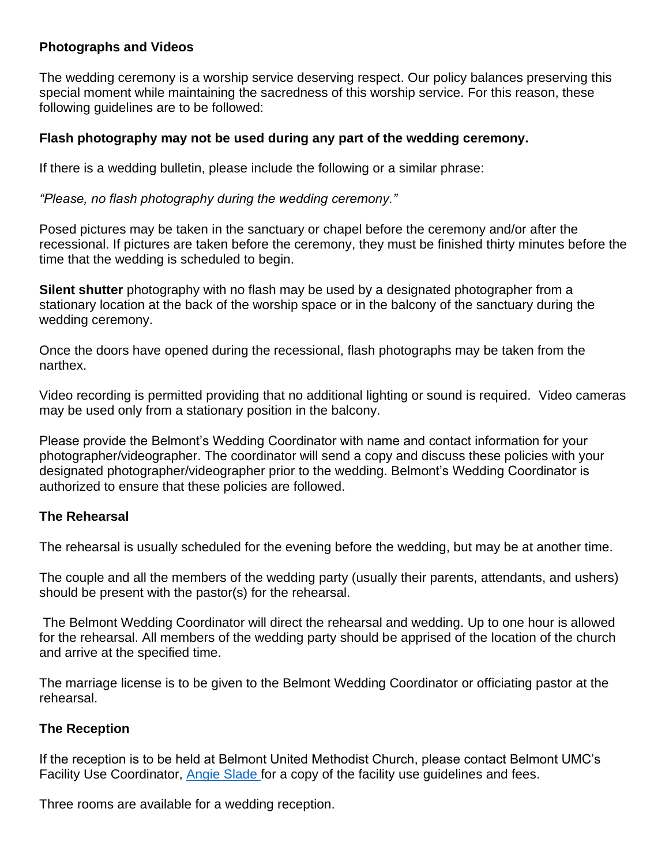# **Photographs and Videos**

The wedding ceremony is a worship service deserving respect. Our policy balances preserving this special moment while maintaining the sacredness of this worship service. For this reason, these following guidelines are to be followed:

## **Flash photography may not be used during any part of the wedding ceremony.**

If there is a wedding bulletin, please include the following or a similar phrase:

*"Please, no flash photography during the wedding ceremony."*

Posed pictures may be taken in the sanctuary or chapel before the ceremony and/or after the recessional. If pictures are taken before the ceremony, they must be finished thirty minutes before the time that the wedding is scheduled to begin.

**Silent shutter** photography with no flash may be used by a designated photographer from a stationary location at the back of the worship space or in the balcony of the sanctuary during the wedding ceremony.

Once the doors have opened during the recessional, flash photographs may be taken from the narthex.

Video recording is permitted providing that no additional lighting or sound is required. Video cameras may be used only from a stationary position in the balcony.

Please provide the Belmont's Wedding Coordinator with name and contact information for your photographer/videographer. The coordinator will send a copy and discuss these policies with your designated photographer/videographer prior to the wedding. Belmont's Wedding Coordinator is authorized to ensure that these policies are followed.

#### **The Rehearsal**

The rehearsal is usually scheduled for the evening before the wedding, but may be at another time.

The couple and all the members of the wedding party (usually their parents, attendants, and ushers) should be present with the pastor(s) for the rehearsal.

The Belmont Wedding Coordinator will direct the rehearsal and wedding. Up to one hour is allowed for the rehearsal. All members of the wedding party should be apprised of the location of the church and arrive at the specified time.

The marriage license is to be given to the Belmont Wedding Coordinator or officiating pastor at the rehearsal.

#### **The Reception**

If the reception is to be held at Belmont United Methodist Church, please contact Belmont UMC's Facility Use Coordinator, [Angie Slade](https://www.belmontumc.org/worship/weddings/aslade@belmontumc.org) for a copy of the facility use guidelines and fees.

Three rooms are available for a wedding reception.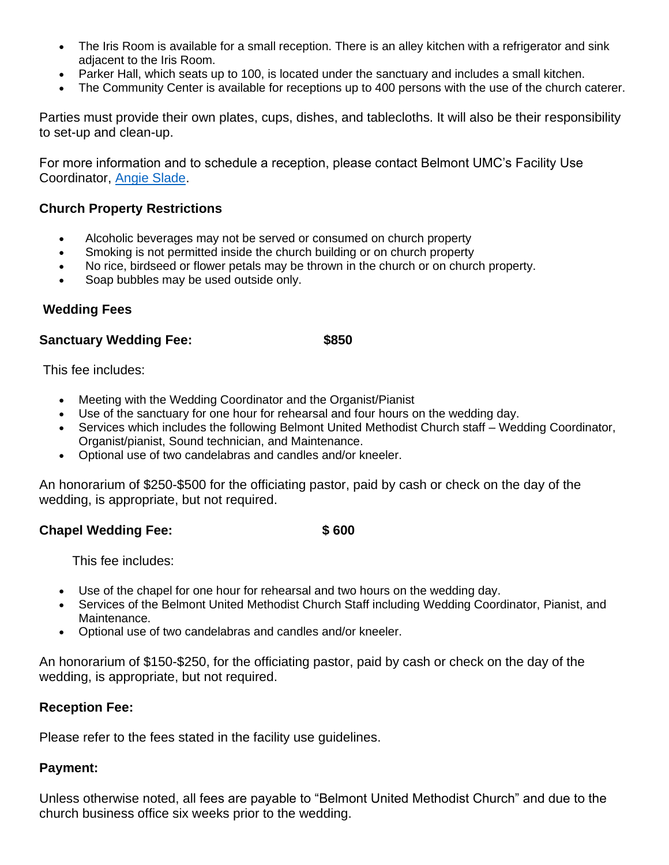- The Iris Room is available for a small reception. There is an alley kitchen with a refrigerator and sink adjacent to the Iris Room.
- Parker Hall, which seats up to 100, is located under the sanctuary and includes a small kitchen.
- The Community Center is available for receptions up to 400 persons with the use of the church caterer.

Parties must provide their own plates, cups, dishes, and tablecloths. It will also be their responsibility to set-up and clean-up.

For more information and to schedule a reception, please contact Belmont UMC's Facility Use Coordinator, [Angie Slade.](https://www.belmontumc.org/worship/weddings/aslade@belmontumc.org)

## **Church Property Restrictions**

- Alcoholic beverages may not be served or consumed on church property
- Smoking is not permitted inside the church building or on church property
- No rice, birdseed or flower petals may be thrown in the church or on church property.
- Soap bubbles may be used outside only.

# **Wedding Fees**

#### **Sanctuary Wedding Fee:** \$850

This fee includes:

- Meeting with the Wedding Coordinator and the Organist/Pianist
- Use of the sanctuary for one hour for rehearsal and four hours on the wedding day.
- Services which includes the following Belmont United Methodist Church staff Wedding Coordinator, Organist/pianist, Sound technician, and Maintenance.
- Optional use of two candelabras and candles and/or kneeler.

An honorarium of \$250-\$500 for the officiating pastor, paid by cash or check on the day of the wedding, is appropriate, but not required.

#### **Chapel Wedding Fee: \$ 600**

This fee includes:

- Use of the chapel for one hour for rehearsal and two hours on the wedding day.
- Services of the Belmont United Methodist Church Staff including Wedding Coordinator, Pianist, and Maintenance.
- Optional use of two candelabras and candles and/or kneeler.

An honorarium of \$150-\$250, for the officiating pastor, paid by cash or check on the day of the wedding, is appropriate, but not required.

#### **Reception Fee:**

Please refer to the fees stated in the facility use guidelines.

#### **Payment:**

Unless otherwise noted, all fees are payable to "Belmont United Methodist Church" and due to the church business office six weeks prior to the wedding.